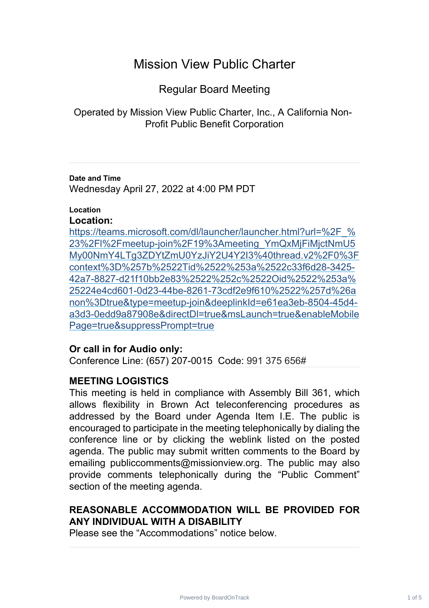# Mission View Public Charter

Regular Board Meeting

Operated by Mission View Public Charter, Inc., A California Non-Profit Public Benefit Corporation

**Date and Time** Wednesday April 27, 2022 at 4:00 PM PDT

## **Location**

## **Location:**

https://teams.microsoft.com/dl/launcher/launcher.html?url=%2F % 23%2Fl%2Fmeetup-join%2F19%3Ameeting\_YmQxMjFiMjctNmU5 [My00NmY4LTg3ZDYtZmU0YzJiY2U4Y2I3%40thread.v2%2F0%3F](https://teams.microsoft.com/dl/launcher/launcher.html?url=%2F_%23%2Fl%2Fmeetup-join%2F19%3Ameeting_YmQxMjFiMjctNmU5My00NmY4LTg3ZDYtZmU0YzJiY2U4Y2I3%40thread.v2%2F0%3Fcontext%3D%257b%2522Tid%2522%253a%2522c33f6d28-3425-42a7-8827-d21f10bb2e83%2522%252c%2522Oid%2522%253a%25224e4cd601-0d23-44be-8261-73cdf2e9f610%2522%257d%26anon%3Dtrue&type=meetup-join&deeplinkId=e61ea3eb-8504-45d4-a3d3-0edd9a87908e&directDl=true&msLaunch=true&enableMobilePage=true&suppressPrompt=true) context%3D%257b%2522Tid%2522%253a%2522c33f6d28-3425- [42a7-8827-d21f10bb2e83%2522%252c%2522Oid%2522%253a%](https://teams.microsoft.com/dl/launcher/launcher.html?url=%2F_%23%2Fl%2Fmeetup-join%2F19%3Ameeting_YmQxMjFiMjctNmU5My00NmY4LTg3ZDYtZmU0YzJiY2U4Y2I3%40thread.v2%2F0%3Fcontext%3D%257b%2522Tid%2522%253a%2522c33f6d28-3425-42a7-8827-d21f10bb2e83%2522%252c%2522Oid%2522%253a%25224e4cd601-0d23-44be-8261-73cdf2e9f610%2522%257d%26anon%3Dtrue&type=meetup-join&deeplinkId=e61ea3eb-8504-45d4-a3d3-0edd9a87908e&directDl=true&msLaunch=true&enableMobilePage=true&suppressPrompt=true) 25224e4cd601-0d23-44be-8261-73cdf2e9f610%2522%257d%26a [non%3Dtrue&type=meetup-join&deeplinkId=e61ea3eb-8504-45d4](https://teams.microsoft.com/dl/launcher/launcher.html?url=%2F_%23%2Fl%2Fmeetup-join%2F19%3Ameeting_YmQxMjFiMjctNmU5My00NmY4LTg3ZDYtZmU0YzJiY2U4Y2I3%40thread.v2%2F0%3Fcontext%3D%257b%2522Tid%2522%253a%2522c33f6d28-3425-42a7-8827-d21f10bb2e83%2522%252c%2522Oid%2522%253a%25224e4cd601-0d23-44be-8261-73cdf2e9f610%2522%257d%26anon%3Dtrue&type=meetup-join&deeplinkId=e61ea3eb-8504-45d4-a3d3-0edd9a87908e&directDl=true&msLaunch=true&enableMobilePage=true&suppressPrompt=true) a3d3-0edd9a87908e&directDl=true&msLaunch=true&enableMobile [Page=true&suppressPrompt=true](https://teams.microsoft.com/dl/launcher/launcher.html?url=%2F_%23%2Fl%2Fmeetup-join%2F19%3Ameeting_YmQxMjFiMjctNmU5My00NmY4LTg3ZDYtZmU0YzJiY2U4Y2I3%40thread.v2%2F0%3Fcontext%3D%257b%2522Tid%2522%253a%2522c33f6d28-3425-42a7-8827-d21f10bb2e83%2522%252c%2522Oid%2522%253a%25224e4cd601-0d23-44be-8261-73cdf2e9f610%2522%257d%26anon%3Dtrue&type=meetup-join&deeplinkId=e61ea3eb-8504-45d4-a3d3-0edd9a87908e&directDl=true&msLaunch=true&enableMobilePage=true&suppressPrompt=true)

## **Or call in for Audio only:**

Conference Line: (657) 207-0015 Code: 991 375 656#

## **MEETING LOGISTICS**

This meeting is held in compliance with Assembly Bill 361, which allows flexibility in Brown Act teleconferencing procedures as addressed by the Board under Agenda Item I.E. The public is encouraged to participate in the meeting telephonically by dialing the conference line or by clicking the weblink listed on the posted agenda. The public may submit written comments to the Board by emailing publiccomments@missionview.org. The public may also provide comments telephonically during the "Public Comment" section of the meeting agenda.

# **REASONABLE ACCOMMODATION WILL BE PROVIDED FOR ANY INDIVIDUAL WITH A DISABILITY**

Please see the "Accommodations" notice below.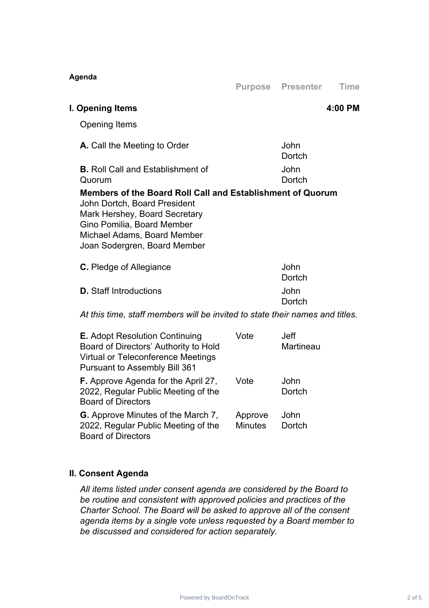| Agenda                                                                                                                                                                                                                   | <b>Purpose</b>            | <b>Presenter</b>         | <b>Time</b> |
|--------------------------------------------------------------------------------------------------------------------------------------------------------------------------------------------------------------------------|---------------------------|--------------------------|-------------|
|                                                                                                                                                                                                                          |                           |                          |             |
| I. Opening Items                                                                                                                                                                                                         |                           |                          | 4:00 PM     |
| <b>Opening Items</b>                                                                                                                                                                                                     |                           |                          |             |
| A. Call the Meeting to Order                                                                                                                                                                                             |                           | John<br>Dortch           |             |
| <b>B.</b> Roll Call and Establishment of<br>Quorum                                                                                                                                                                       |                           | John<br>Dortch           |             |
| Members of the Board Roll Call and Establishment of Quorum<br>John Dortch, Board President<br>Mark Hershey, Board Secretary<br>Gino Pomilia, Board Member<br>Michael Adams, Board Member<br>Joan Sodergren, Board Member |                           |                          |             |
| <b>C.</b> Pledge of Allegiance                                                                                                                                                                                           |                           | John<br>Dortch           |             |
| <b>D.</b> Staff Introductions                                                                                                                                                                                            |                           | John<br>Dortch           |             |
| At this time, staff members will be invited to state their names and titles.                                                                                                                                             |                           |                          |             |
| E. Adopt Resolution Continuing<br>Board of Directors' Authority to Hold<br>Virtual or Teleconference Meetings<br><b>Pursuant to Assembly Bill 361</b>                                                                    | Vote                      | <b>Jeff</b><br>Martineau |             |
| F. Approve Agenda for the April 27,<br>2022, Regular Public Meeting of the<br><b>Board of Directors</b>                                                                                                                  | Vote                      | John<br>Dortch           |             |
| <b>G.</b> Approve Minutes of the March 7,<br>2022, Regular Public Meeting of the                                                                                                                                         | Approve<br><b>Minutes</b> | John<br>Dortch           |             |

## **II. Consent Agenda**

Board of Directors

*All items listed under consent agenda are considered by the Board to be routine and consistent with approved policies and practices of the Charter School. The Board will be asked to approve all of the consent agenda items by a single vote unless requested by a Board member to be discussed and considered for action separately.*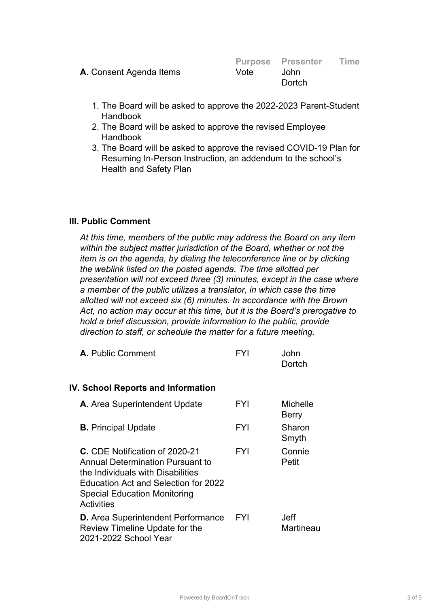|                                |      | <b>Purpose Presenter</b> | Time |
|--------------------------------|------|--------------------------|------|
| <b>A.</b> Consent Agenda Items | Vote | John.                    |      |
|                                |      | Dortch                   |      |
|                                |      |                          |      |

- 1. The Board will be asked to approve the 2022-2023 Parent-Student Handbook
- 2. The Board will be asked to approve the revised Employee Handbook
- 3. The Board will be asked to approve the revised COVID-19 Plan for Resuming In-Person Instruction, an addendum to the school's Health and Safety Plan

#### **III. Public Comment**

*At this time, members of the public may address the Board on any item within the subject matter jurisdiction of the Board, whether or not the item is on the agenda, by dialing the teleconference line or by clicking the weblink listed on the posted agenda. The time allotted per presentation will not exceed three (3) minutes, except in the case where a member of the public utilizes a translator, in which case the time allotted will not exceed six (6) minutes. In accordance with the Brown Act, no action may occur at this time, but it is the Board's prerogative to hold a brief discussion, provide information to the public, provide direction to staff, or schedule the matter for a future meeting.*

| <b>A.</b> Public Comment | <b>FYI</b> | John   |
|--------------------------|------------|--------|
|                          |            | Dortch |

#### **IV. School Reports and Information**

| A. Area Superintendent Update                                                                                                                                                                                      | <b>FYI</b> | Michelle<br><b>Berry</b> |
|--------------------------------------------------------------------------------------------------------------------------------------------------------------------------------------------------------------------|------------|--------------------------|
| <b>B.</b> Principal Update                                                                                                                                                                                         | <b>FYI</b> | Sharon<br>Smyth          |
| C. CDE Notification of 2020-21<br><b>Annual Determination Pursuant to</b><br>the Individuals with Disabilities<br>Education Act and Selection for 2022<br><b>Special Education Monitoring</b><br><b>Activities</b> | <b>FYI</b> | Connie<br>Petit          |
| <b>D.</b> Area Superintendent Performance<br>Review Timeline Update for the<br>2021-2022 School Year                                                                                                               | <b>FYI</b> | Jeff<br>Martineau        |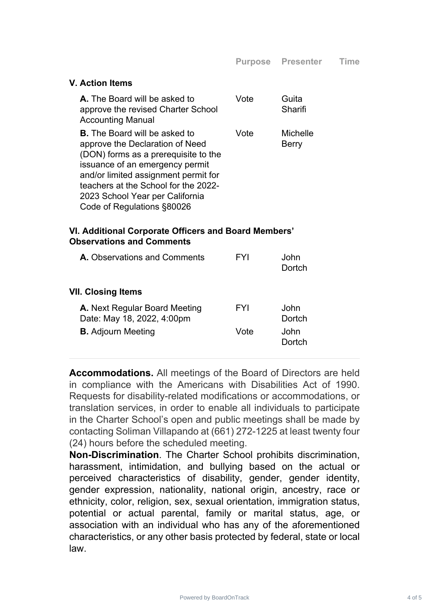#### **V. Action Items**

| <b>A.</b> The Board will be asked to<br>approve the revised Charter School<br><b>Accounting Manual</b>                                                                                                                                                                                              | Vote | Guita<br>Sharifi                |
|-----------------------------------------------------------------------------------------------------------------------------------------------------------------------------------------------------------------------------------------------------------------------------------------------------|------|---------------------------------|
| <b>B.</b> The Board will be asked to<br>approve the Declaration of Need<br>(DON) forms as a prerequisite to the<br>issuance of an emergency permit<br>and/or limited assignment permit for<br>teachers at the School for the 2022-<br>2023 School Year per California<br>Code of Regulations §80026 | Vote | <b>Michelle</b><br><b>Berry</b> |

#### **VI. Additional Corporate Officers and Board Members' Observations and Comments**

| <b>A.</b> Observations and Comments                         | FYI  | .John<br>Dortch |
|-------------------------------------------------------------|------|-----------------|
| VII. Closing Items                                          |      |                 |
| A. Next Regular Board Meeting<br>Date: May 18, 2022, 4:00pm | FYI  | John<br>Dortch  |
| <b>B.</b> Adjourn Meeting                                   | Vote | .John<br>Dortch |
|                                                             |      |                 |

**Accommodations.** All meetings of the Board of Directors are held in compliance with the Americans with Disabilities Act of 1990. Requests for disability-related modifications or accommodations, or translation services, in order to enable all individuals to participate in the Charter School's open and public meetings shall be made by contacting Soliman Villapando at (661) 272-1225 at least twenty four (24) hours before the scheduled meeting.

**Non-Discrimination**. The Charter School prohibits discrimination, harassment, intimidation, and bullying based on the actual or perceived characteristics of disability, gender, gender identity, gender expression, nationality, national origin, ancestry, race or ethnicity, color, religion, sex, sexual orientation, immigration status, potential or actual parental, family or marital status, age, or association with an individual who has any of the aforementioned characteristics, or any other basis protected by federal, state or local law.